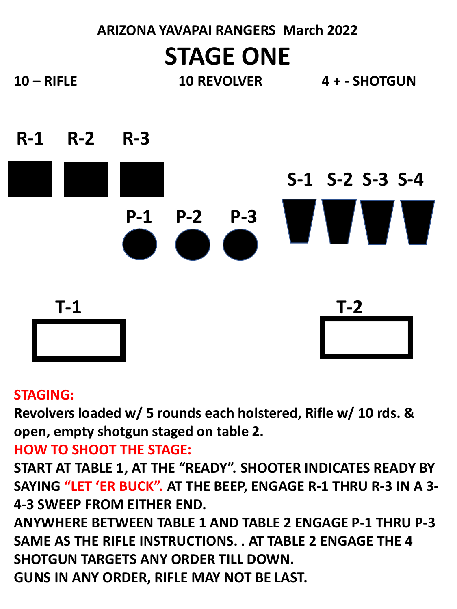# **ARIZONA YAVAPAI RANGERS March 2022 STAGE ONE**

- **10 – RIFLE 10 REVOLVER 4 + - SHOTGUN**
	-



## **STAGING:**

**Revolvers loaded w/ 5 rounds each holstered, Rifle w/ 10 rds. & open, empty shotgun staged on table 2.**

## **HOW TO SHOOT THE STAGE:**

**START AT TABLE 1, AT THE "READY". SHOOTER INDICATES READY BY SAYING "LET 'ER BUCK". AT THE BEEP, ENGAGE R-1 THRU R-3 IN A 3- 4-3 SWEEP FROM EITHER END.** 

**ANYWHERE BETWEEN TABLE 1 AND TABLE 2 ENGAGE P-1 THRU P-3 SAME AS THE RIFLE INSTRUCTIONS. . AT TABLE 2 ENGAGE THE 4 SHOTGUN TARGETS ANY ORDER TILL DOWN. GUNS IN ANY ORDER, RIFLE MAY NOT BE LAST.**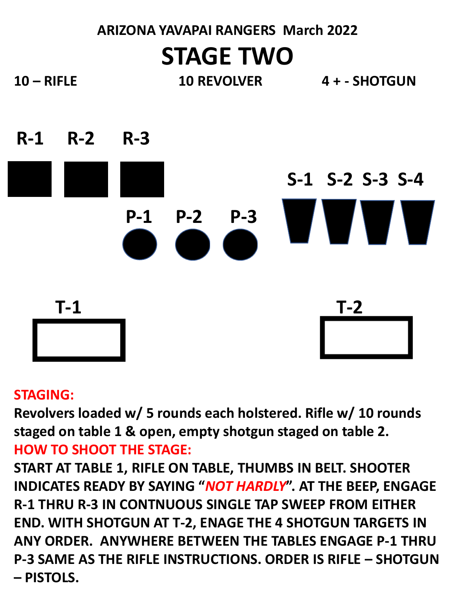## **ARIZONA YAVAPAI RANGERS March 2022 STAGE TWO 10 – RIFLE 10 REVOLVER 4 + - SHOTGUN**



## **STAGING:**

**Revolvers loaded w/ 5 rounds each holstered. Rifle w/ 10 rounds staged on table 1 & open, empty shotgun staged on table 2. HOW TO SHOOT THE STAGE:**

**START AT TABLE 1, RIFLE ON TABLE, THUMBS IN BELT. SHOOTER INDICATES READY BY SAYING "***NOT HARDLY***". AT THE BEEP, ENGAGE R-1 THRU R-3 IN CONTNUOUS SINGLE TAP SWEEP FROM EITHER END. WITH SHOTGUN AT T-2, ENAGE THE 4 SHOTGUN TARGETS IN ANY ORDER. ANYWHERE BETWEEN THE TABLES ENGAGE P-1 THRU P-3 SAME AS THE RIFLE INSTRUCTIONS. ORDER IS RIFLE – SHOTGUN – PISTOLS.**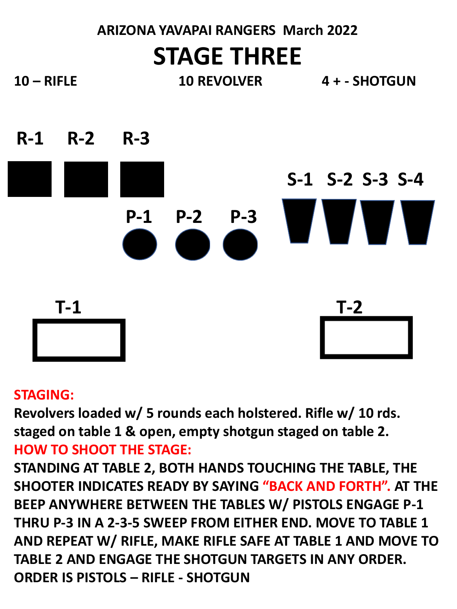## **ARIZONA YAVAPAI RANGERS March 2022 STAGE THREE**

**10 – RIFLE 10 REVOLVER 4 + - SHOTGUN R-1 R-2 R-3 S-1 S-2 S-3 S-4**

**P-1 P-2 P-3**

**T-1 T-2**

## **STAGING:**

**Revolvers loaded w/ 5 rounds each holstered. Rifle w/ 10 rds. staged on table 1 & open, empty shotgun staged on table 2. HOW TO SHOOT THE STAGE:**

**STANDING AT TABLE 2, BOTH HANDS TOUCHING THE TABLE, THE SHOOTER INDICATES READY BY SAYING "BACK AND FORTH". AT THE BEEP ANYWHERE BETWEEN THE TABLES W/ PISTOLS ENGAGE P-1 THRU P-3 IN A 2-3-5 SWEEP FROM EITHER END. MOVE TO TABLE 1 AND REPEAT W/ RIFLE, MAKE RIFLE SAFE AT TABLE 1 AND MOVE TO TABLE 2 AND ENGAGE THE SHOTGUN TARGETS IN ANY ORDER. ORDER IS PISTOLS – RIFLE - SHOTGUN**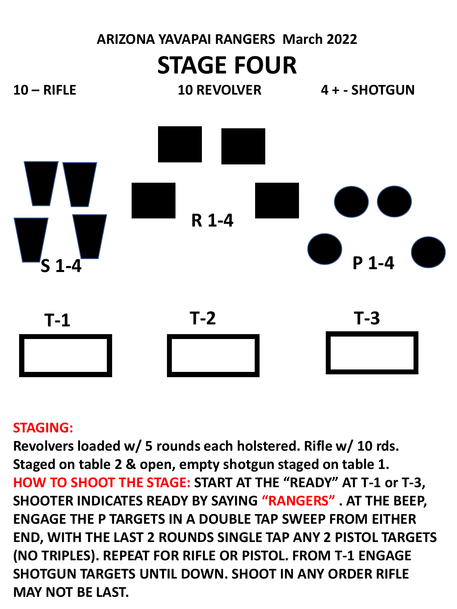

#### **STAGING:**

**Revolvers loaded w/ 5 rounds each holstered. Rifle w/ 10 rds. Staged on table 2 & open, empty shotgun staged on table 1. HOW TO SHOOT THE STAGE: START AT THE "READY" AT T-1 or T-3, SHOOTER INDICATES READY BY SAYING "RANGERS" . AT THE BEEP, ENGAGE THE P TARGETS IN A DOUBLE TAP SWEEP FROM EITHER END, WITH THE LAST 2 ROUNDS SINGLE TAP ANY 2 PISTOL TARGETS (NO TRIPLES). REPEAT FOR RIFLE OR PISTOL. FROM T-1 ENGAGE SHOTGUN TARGETS UNTIL DOWN. SHOOT IN ANY ORDER RIFLE MAY NOT BE LAST.**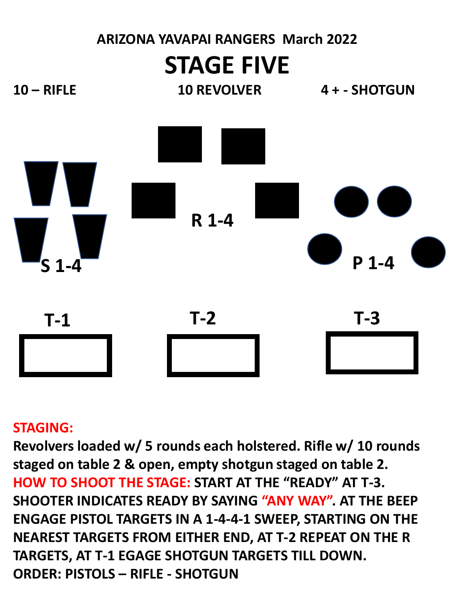

## **STAGING:**

**Revolvers loaded w/ 5 rounds each holstered. Rifle w/ 10 rounds staged on table 2 & open, empty shotgun staged on table 2. HOW TO SHOOT THE STAGE: START AT THE "READY" AT T-3. SHOOTER INDICATES READY BY SAYING "ANY WAY". AT THE BEEP ENGAGE PISTOL TARGETS IN A 1-4-4-1 SWEEP, STARTING ON THE NEAREST TARGETS FROM EITHER END, AT T-2 REPEAT ON THE R TARGETS, AT T-1 EGAGE SHOTGUN TARGETS TILL DOWN. ORDER: PISTOLS – RIFLE - SHOTGUN**